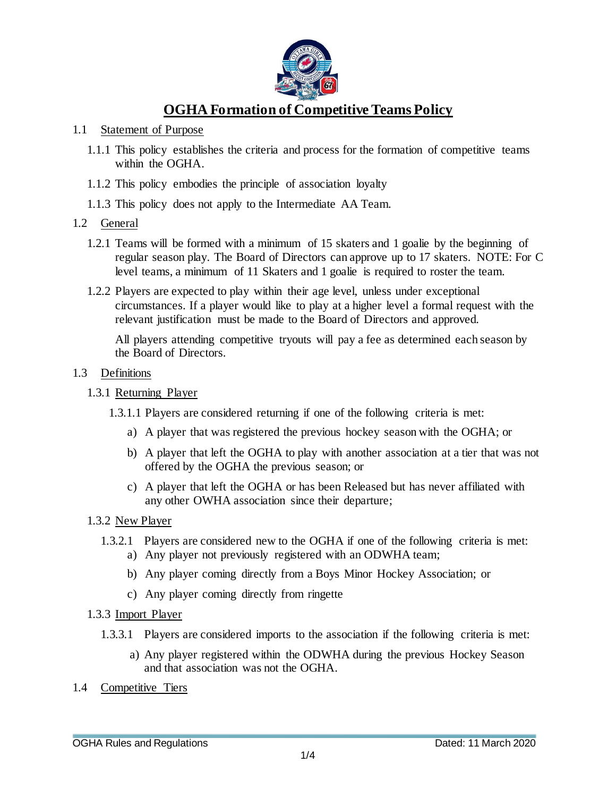

# **OGHA Formation of Competitive Teams Policy**

#### 1.1 Statement of Purpose

- 1.1.1 This policy establishes the criteria and process for the formation of competitive teams within the OGHA.
- 1.1.2 This policy embodies the principle of association loyalty
- 1.1.3 This policy does not apply to the Intermediate AA Team.

#### 1.2 General

- 1.2.1 Teams will be formed with a minimum of 15 skaters and 1 goalie by the beginning of regular season play. The Board of Directors can approve up to 17 skaters. NOTE: For C level teams, a minimum of 11 Skaters and 1 goalie is required to roster the team.
- 1.2.2 Players are expected to play within their age level, unless under exceptional circumstances. If a player would like to play at a higher level a formal request with the relevant justification must be made to the Board of Directors and approved.

All players attending competitive tryouts will pay a fee as determined each season by the Board of Directors.

#### 1.3 Definitions

#### 1.3.1 Returning Player

- 1.3.1.1 Players are considered returning if one of the following criteria is met:
	- a) A player that was registered the previous hockey season with the OGHA; or
	- b) A player that left the OGHA to play with another association at a tier that was not offered by the OGHA the previous season; or
	- c) A player that left the OGHA or has been Released but has never affiliated with any other OWHA association since their departure;
- 1.3.2 New Player
	- 1.3.2.1 Players are considered new to the OGHA if one of the following criteria is met:
		- a) Any player not previously registered with an ODWHA team;
		- b) Any player coming directly from a Boys Minor Hockey Association; or
		- c) Any player coming directly from ringette
- 1.3.3 Import Player
	- 1.3.3.1 Players are considered imports to the association if the following criteria is met:
		- a) Any player registered within the ODWHA during the previous Hockey Season and that association was not the OGHA.
- 1.4 Competitive Tiers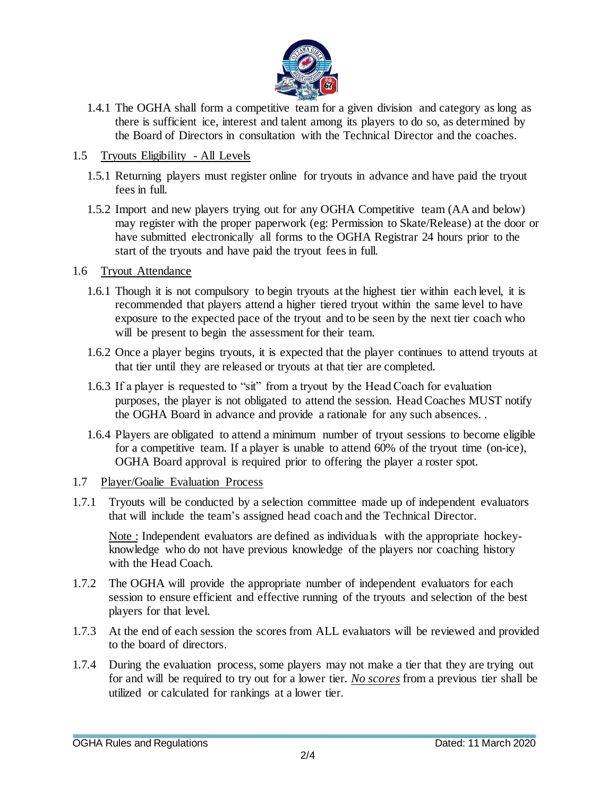

- 1.4.1 The OGHA shall form a competitive team for a given division and category as long as there is sufficient ice, interest and talent among its players to do so, as determined by the Board of Directors in consultation with the Technical Director and the coaches.
- 1.5 Tryouts Eligibility All Levels
	- 1.5.1 Returning players must register online for tryouts in advance and have paid the tryout fees in full.
	- 1.5.2 Import and new players trying out for any OGHA Competitive team (AA and below) may register with the proper paperwork (eg: Permission to Skate/Release) at the door or have submitted electronically all forms to the OGHA Registrar 24 hours prior to the start of the tryouts and have paid the tryout fees in full.

## 1.6 Tryout Attendance

- 1.6.1 Though it is not compulsory to begin tryouts at the highest tier within each level, it is recommended that players attend a higher tiered tryout within the same level to have exposure to the expected pace of the tryout and to be seen by the next tier coach who will be present to begin the assessment for their team.
- 1.6.2 Once a player begins tryouts, it is expected that the player continues to attend tryouts at that tier until they are released or tryouts at that tier are completed.
- 1.6.3 If a player is requested to "sit" from a tryout by the Head Coach for evaluation purposes, the player is not obligated to attend the session. Head Coaches MUST notify the OGHA Board in advance and provide a rationale for any such absences. .
- 1.6.4 Players are obligated to attend a minimum number of tryout sessions to become eligible for a competitive team. If a player is unable to attend 60% of the tryout time (on-ice), OGHA Board approval is required prior to offering the player a roster spot.
- 1.7 Player/Goalie Evaluation Process
- 1.7.1 Tryouts will be conducted by a selection committee made up of independent evaluators that will include the team's assigned head coach and the Technical Director.

Note : Independent evaluators are defined as individuals with the appropriate hockeyknowledge who do not have previous knowledge of the players nor coaching history with the Head Coach.

- 1.7.2 The OGHA will provide the appropriate number of independent evaluators for each session to ensure efficient and effective running of the tryouts and selection of the best players for that level.
- 1.7.3 At the end of each session the scores from ALL evaluators will be reviewed and provided to the board of directors.
- 1.7.4 During the evaluation process, some players may not make a tier that they are trying out for and will be required to try out for a lower tier. *No scores* from a previous tier shall be utilized or calculated for rankings at a lower tier.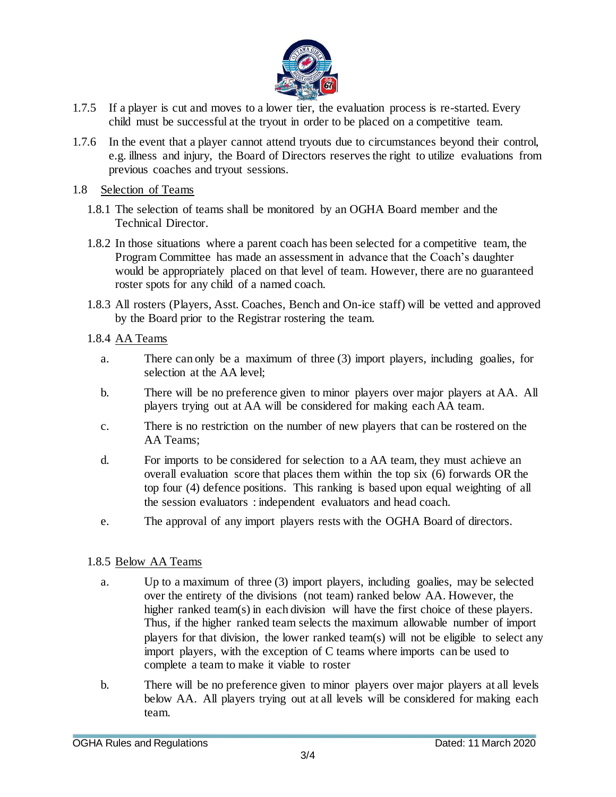

- 1.7.5 If a player is cut and moves to a lower tier, the evaluation process is re-started. Every child must be successful at the tryout in order to be placed on a competitive team.
- 1.7.6 In the event that a player cannot attend tryouts due to circumstances beyond their control, e.g. illness and injury, the Board of Directors reserves the right to utilize evaluations from previous coaches and tryout sessions.
- 1.8 Selection of Teams
	- 1.8.1 The selection of teams shall be monitored by an OGHA Board member and the Technical Director.
	- 1.8.2 In those situations where a parent coach has been selected for a competitive team, the Program Committee has made an assessment in advance that the Coach's daughter would be appropriately placed on that level of team. However, there are no guaranteed roster spots for any child of a named coach.
	- 1.8.3 All rosters (Players, Asst. Coaches, Bench and On-ice staff) will be vetted and approved by the Board prior to the Registrar rostering the team.
	- 1.8.4 AA Teams
		- a. There can only be a maximum of three (3) import players, including goalies, for selection at the AA level;
		- b. There will be no preference given to minor players over major players at AA. All players trying out at AA will be considered for making each AA team.
		- c. There is no restriction on the number of new players that can be rostered on the AA Teams;
		- d. For imports to be considered for selection to a AA team, they must achieve an overall evaluation score that places them within the top six (6) forwards OR the top four (4) defence positions. This ranking is based upon equal weighting of all the session evaluators : independent evaluators and head coach.
		- e. The approval of any import players rests with the OGHA Board of directors.

### 1.8.5 Below AA Teams

- a. Up to a maximum of three (3) import players, including goalies, may be selected over the entirety of the divisions (not team) ranked below AA. However, the higher ranked team(s) in each division will have the first choice of these players. Thus, if the higher ranked team selects the maximum allowable number of import players for that division, the lower ranked team(s) will not be eligible to select any import players, with the exception of C teams where imports can be used to complete a team to make it viable to roster
- b. There will be no preference given to minor players over major players at all levels below AA. All players trying out at all levels will be considered for making each team.